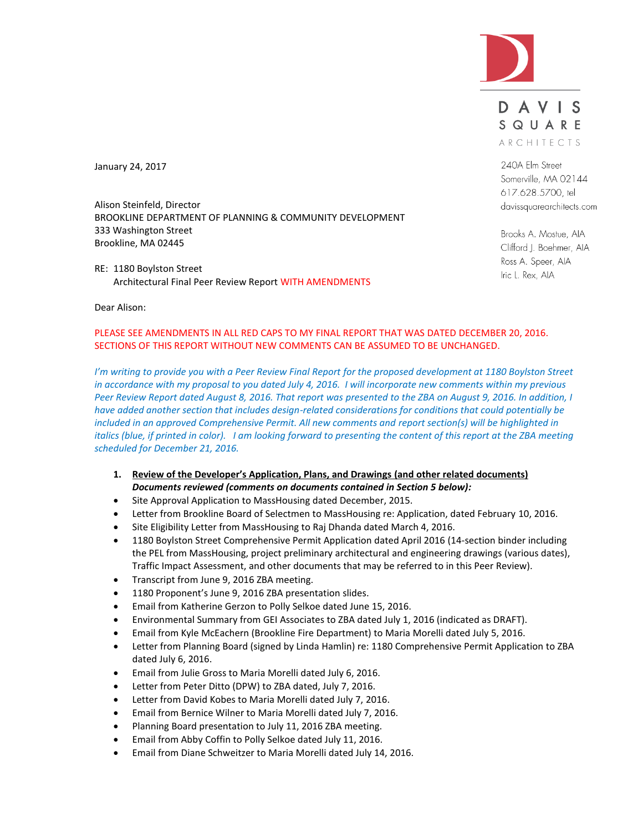

DAVIS SQUARE ARCHITECTS

240A Elm Street Somerville, MA 02144 617.628.5700, tel davissquarearchitects.com

Brooks A. Mostue, AIA Clifford J. Boehmer, AIA Ross A. Speer, AIA Iric L. Rex, AIA

January 24, 2017

Alison Steinfeld, Director BROOKLINE DEPARTMENT OF PLANNING & COMMUNITY DEVELOPMENT 333 Washington Street Brookline, MA 02445

RE: 1180 Boylston Street Architectural Final Peer Review Report WITH AMENDMENTS

Dear Alison:

### PLEASE SEE AMENDMENTS IN ALL RED CAPS TO MY FINAL REPORT THAT WAS DATED DECEMBER 20, 2016. SECTIONS OF THIS REPORT WITHOUT NEW COMMENTS CAN BE ASSUMED TO BE UNCHANGED.

*I'm writing to provide you with a Peer Review Final Report for the proposed development at 1180 Boylston Street in accordance with my proposal to you dated July 4, 2016. I will incorporate new comments within my previous Peer Review Report dated August 8, 2016. That report was presented to the ZBA on August 9, 2016. In addition, I have added another section that includes design-related considerations for conditions that could potentially be included in an approved Comprehensive Permit. All new comments and report section(s) will be highlighted in italics (blue, if printed in color). I am looking forward to presenting the content of this report at the ZBA meeting scheduled for December 21, 2016.* 

# **1. Review of the Developer's Application, Plans, and Drawings (and other related documents)** *Documents reviewed (comments on documents contained in Section 5 below):*

- Site Approval Application to MassHousing dated December, 2015.
- Letter from Brookline Board of Selectmen to MassHousing re: Application, dated February 10, 2016.
- Site Eligibility Letter from MassHousing to Raj Dhanda dated March 4, 2016.
- 1180 Boylston Street Comprehensive Permit Application dated April 2016 (14-section binder including the PEL from MassHousing, project preliminary architectural and engineering drawings (various dates), Traffic Impact Assessment, and other documents that may be referred to in this Peer Review).
- Transcript from June 9, 2016 ZBA meeting.
- 1180 Proponent's June 9, 2016 ZBA presentation slides.
- Email from Katherine Gerzon to Polly Selkoe dated June 15, 2016.
- Environmental Summary from GEI Associates to ZBA dated July 1, 2016 (indicated as DRAFT).
- Email from Kyle McEachern (Brookline Fire Department) to Maria Morelli dated July 5, 2016.
- Letter from Planning Board (signed by Linda Hamlin) re: 1180 Comprehensive Permit Application to ZBA dated July 6, 2016.
- Email from Julie Gross to Maria Morelli dated July 6, 2016.
- Letter from Peter Ditto (DPW) to ZBA dated, July 7, 2016.
- Letter from David Kobes to Maria Morelli dated July 7, 2016.
- Email from Bernice Wilner to Maria Morelli dated July 7, 2016.
- Planning Board presentation to July 11, 2016 ZBA meeting.
- Email from Abby Coffin to Polly Selkoe dated July 11, 2016.
- Email from Diane Schweitzer to Maria Morelli dated July 14, 2016.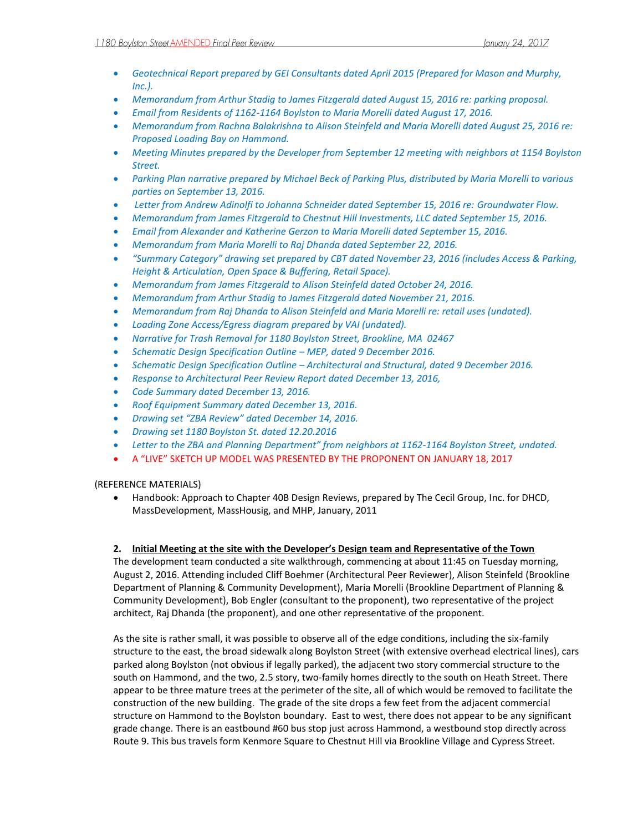- *Geotechnical Report prepared by GEI Consultants dated April 2015 (Prepared for Mason and Murphy, Inc.).*
- *Memorandum from Arthur Stadig to James Fitzgerald dated August 15, 2016 re: parking proposal.*
- *Email from Residents of 1162-1164 Boylston to Maria Morelli dated August 17, 2016.*
- *Memorandum from Rachna Balakrishna to Alison Steinfeld and Maria Morelli dated August 25, 2016 re: Proposed Loading Bay on Hammond.*
- *Meeting Minutes prepared by the Developer from September 12 meeting with neighbors at 1154 Boylston Street.*
- *Parking Plan narrative prepared by Michael Beck of Parking Plus, distributed by Maria Morelli to various parties on September 13, 2016.*
- *Letter from Andrew Adinolfi to Johanna Schneider dated September 15, 2016 re: Groundwater Flow.*
- *Memorandum from James Fitzgerald to Chestnut Hill Investments, LLC dated September 15, 2016.*
- *Email from Alexander and Katherine Gerzon to Maria Morelli dated September 15, 2016.*
- *Memorandum from Maria Morelli to Raj Dhanda dated September 22, 2016.*
- *"Summary Category" drawing set prepared by CBT dated November 23, 2016 (includes Access & Parking, Height & Articulation, Open Space & Buffering, Retail Space).*
- *Memorandum from James Fitzgerald to Alison Steinfeld dated October 24, 2016.*
- *Memorandum from Arthur Stadig to James Fitzgerald dated November 21, 2016.*
- *Memorandum from Raj Dhanda to Alison Steinfeld and Maria Morelli re: retail uses (undated).*
- *Loading Zone Access/Egress diagram prepared by VAI (undated).*
- *Narrative for Trash Removal for 1180 Boylston Street, Brookline, MA 02467*
- *Schematic Design Specification Outline – MEP, dated 9 December 2016.*
- *Schematic Design Specification Outline – Architectural and Structural, dated 9 December 2016.*
- *Response to Architectural Peer Review Report dated December 13, 2016,*
- *Code Summary dated December 13, 2016.*
- *Roof Equipment Summary dated December 13, 2016.*
- *Drawing set "ZBA Review" dated December 14, 2016.*
- *Drawing set 1180 Boylston St. dated 12.20.2016*
- *Letter to the ZBA and Planning Department" from neighbors at 1162-1164 Boylston Street, undated.*
- A "LIVE" SKETCH UP MODEL WAS PRESENTED BY THE PROPONENT ON JANUARY 18, 2017

(REFERENCE MATERIALS)

 Handbook: Approach to Chapter 40B Design Reviews, prepared by The Cecil Group, Inc. for DHCD, MassDevelopment, MassHousig, and MHP, January, 2011

# **2. Initial Meeting at the site with the Developer's Design team and Representative of the Town**

The development team conducted a site walkthrough, commencing at about 11:45 on Tuesday morning, August 2, 2016. Attending included Cliff Boehmer (Architectural Peer Reviewer), Alison Steinfeld (Brookline Department of Planning & Community Development), Maria Morelli (Brookline Department of Planning & Community Development), Bob Engler (consultant to the proponent), two representative of the project architect, Raj Dhanda (the proponent), and one other representative of the proponent.

As the site is rather small, it was possible to observe all of the edge conditions, including the six-family structure to the east, the broad sidewalk along Boylston Street (with extensive overhead electrical lines), cars parked along Boylston (not obvious if legally parked), the adjacent two story commercial structure to the south on Hammond, and the two, 2.5 story, two-family homes directly to the south on Heath Street. There appear to be three mature trees at the perimeter of the site, all of which would be removed to facilitate the construction of the new building. The grade of the site drops a few feet from the adjacent commercial structure on Hammond to the Boylston boundary. East to west, there does not appear to be any significant grade change. There is an eastbound #60 bus stop just across Hammond, a westbound stop directly across Route 9. This bus travels form Kenmore Square to Chestnut Hill via Brookline Village and Cypress Street.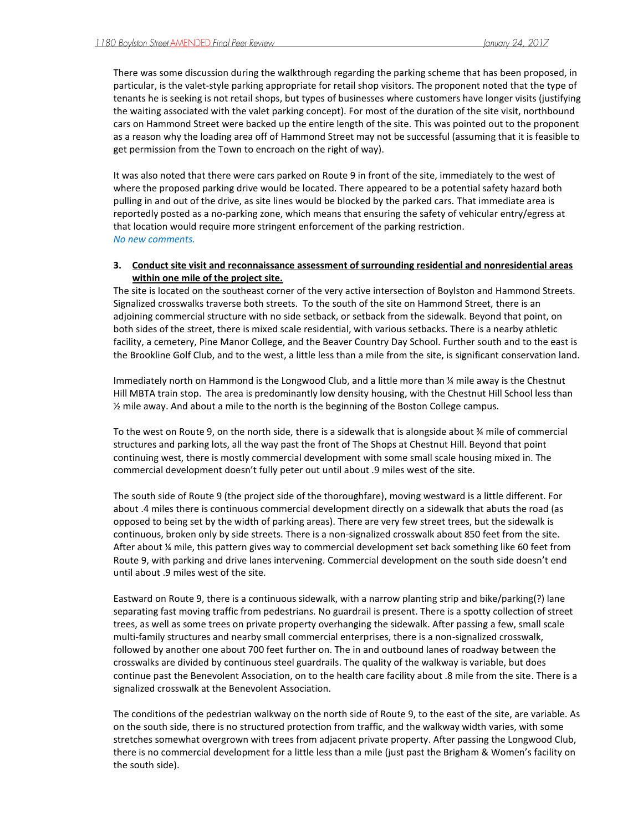There was some discussion during the walkthrough regarding the parking scheme that has been proposed, in particular, is the valet-style parking appropriate for retail shop visitors. The proponent noted that the type of tenants he is seeking is not retail shops, but types of businesses where customers have longer visits (justifying the waiting associated with the valet parking concept). For most of the duration of the site visit, northbound cars on Hammond Street were backed up the entire length of the site. This was pointed out to the proponent as a reason why the loading area off of Hammond Street may not be successful (assuming that it is feasible to get permission from the Town to encroach on the right of way).

It was also noted that there were cars parked on Route 9 in front of the site, immediately to the west of where the proposed parking drive would be located. There appeared to be a potential safety hazard both pulling in and out of the drive, as site lines would be blocked by the parked cars. That immediate area is reportedly posted as a no-parking zone, which means that ensuring the safety of vehicular entry/egress at that location would require more stringent enforcement of the parking restriction. *No new comments.* 

### **3. Conduct site visit and reconnaissance assessment of surrounding residential and nonresidential areas within one mile of the project site.**

The site is located on the southeast corner of the very active intersection of Boylston and Hammond Streets. Signalized crosswalks traverse both streets. To the south of the site on Hammond Street, there is an adjoining commercial structure with no side setback, or setback from the sidewalk. Beyond that point, on both sides of the street, there is mixed scale residential, with various setbacks. There is a nearby athletic facility, a cemetery, Pine Manor College, and the Beaver Country Day School. Further south and to the east is the Brookline Golf Club, and to the west, a little less than a mile from the site, is significant conservation land.

Immediately north on Hammond is the Longwood Club, and a little more than % mile away is the Chestnut Hill MBTA train stop. The area is predominantly low density housing, with the Chestnut Hill School less than ½ mile away. And about a mile to the north is the beginning of the Boston College campus.

To the west on Route 9, on the north side, there is a sidewalk that is alongside about ¾ mile of commercial structures and parking lots, all the way past the front of The Shops at Chestnut Hill. Beyond that point continuing west, there is mostly commercial development with some small scale housing mixed in. The commercial development doesn't fully peter out until about .9 miles west of the site.

The south side of Route 9 (the project side of the thoroughfare), moving westward is a little different. For about .4 miles there is continuous commercial development directly on a sidewalk that abuts the road (as opposed to being set by the width of parking areas). There are very few street trees, but the sidewalk is continuous, broken only by side streets. There is a non-signalized crosswalk about 850 feet from the site. After about ¼ mile, this pattern gives way to commercial development set back something like 60 feet from Route 9, with parking and drive lanes intervening. Commercial development on the south side doesn't end until about .9 miles west of the site.

Eastward on Route 9, there is a continuous sidewalk, with a narrow planting strip and bike/parking(?) lane separating fast moving traffic from pedestrians. No guardrail is present. There is a spotty collection of street trees, as well as some trees on private property overhanging the sidewalk. After passing a few, small scale multi-family structures and nearby small commercial enterprises, there is a non-signalized crosswalk, followed by another one about 700 feet further on. The in and outbound lanes of roadway between the crosswalks are divided by continuous steel guardrails. The quality of the walkway is variable, but does continue past the Benevolent Association, on to the health care facility about .8 mile from the site. There is a signalized crosswalk at the Benevolent Association.

The conditions of the pedestrian walkway on the north side of Route 9, to the east of the site, are variable. As on the south side, there is no structured protection from traffic, and the walkway width varies, with some stretches somewhat overgrown with trees from adjacent private property. After passing the Longwood Club, there is no commercial development for a little less than a mile (just past the Brigham & Women's facility on the south side).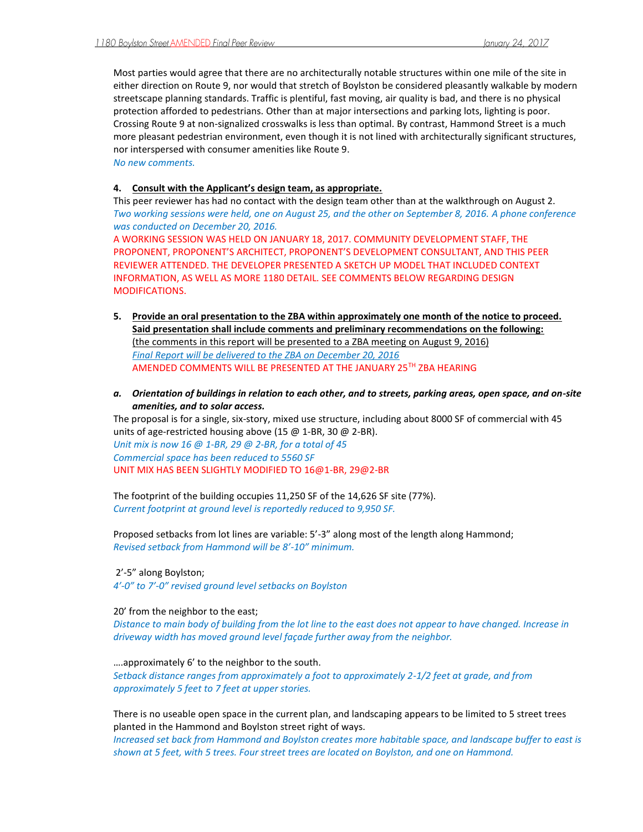Most parties would agree that there are no architecturally notable structures within one mile of the site in either direction on Route 9, nor would that stretch of Boylston be considered pleasantly walkable by modern streetscape planning standards. Traffic is plentiful, fast moving, air quality is bad, and there is no physical protection afforded to pedestrians. Other than at major intersections and parking lots, lighting is poor. Crossing Route 9 at non-signalized crosswalks is less than optimal. By contrast, Hammond Street is a much more pleasant pedestrian environment, even though it is not lined with architecturally significant structures, nor interspersed with consumer amenities like Route 9.

*No new comments.* 

#### **4. Consult with the Applicant's design team, as appropriate.**

This peer reviewer has had no contact with the design team other than at the walkthrough on August 2. *Two working sessions were held, one on August 25, and the other on September 8, 2016. A phone conference was conducted on December 20, 2016.* 

A WORKING SESSION WAS HELD ON JANUARY 18, 2017. COMMUNITY DEVELOPMENT STAFF, THE PROPONENT, PROPONENT'S ARCHITECT, PROPONENT'S DEVELOPMENT CONSULTANT, AND THIS PEER REVIEWER ATTENDED. THE DEVELOPER PRESENTED A SKETCH UP MODEL THAT INCLUDED CONTEXT INFORMATION, AS WELL AS MORE 1180 DETAIL. SEE COMMENTS BELOW REGARDING DESIGN MODIFICATIONS.

- **5. Provide an oral presentation to the ZBA within approximately one month of the notice to proceed. Said presentation shall include comments and preliminary recommendations on the following:** (the comments in this report will be presented to a ZBA meeting on August 9, 2016) *Final Report will be delivered to the ZBA on December 20, 2016* AMENDED COMMENTS WILL BE PRESENTED AT THE JANUARY 25TH ZBA HEARING
- *a. Orientation of buildings in relation to each other, and to streets, parking areas, open space, and on-site amenities, and to solar access.*

The proposal is for a single, six-story, mixed use structure, including about 8000 SF of commercial with 45 units of age-restricted housing above (15 @ 1-BR, 30 @ 2-BR). *Unit mix is now 16 @ 1-BR, 29 @ 2-BR, for a total of 45 Commercial space has been reduced to 5560 SF* UNIT MIX HAS BEEN SLIGHTLY MODIFIED TO 16@1-BR, 29@2-BR

The footprint of the building occupies 11,250 SF of the 14,626 SF site (77%). *Current footprint at ground level is reportedly reduced to 9,950 SF.*

Proposed setbacks from lot lines are variable: 5'-3" along most of the length along Hammond; *Revised setback from Hammond will be 8'-10" minimum.* 

2'-5" along Boylston;

*4'-0" to 7'-0" revised ground level setbacks on Boylston*

#### 20' from the neighbor to the east;

*Distance to main body of building from the lot line to the east does not appear to have changed. Increase in driveway width has moved ground level façade further away from the neighbor.* 

….approximately 6' to the neighbor to the south.

*Setback distance ranges from approximately a foot to approximately 2-1/2 feet at grade, and from approximately 5 feet to 7 feet at upper stories.* 

There is no useable open space in the current plan, and landscaping appears to be limited to 5 street trees planted in the Hammond and Boylston street right of ways.

*Increased set back from Hammond and Boylston creates more habitable space, and landscape buffer to east is shown at 5 feet, with 5 trees. Four street trees are located on Boylston, and one on Hammond.*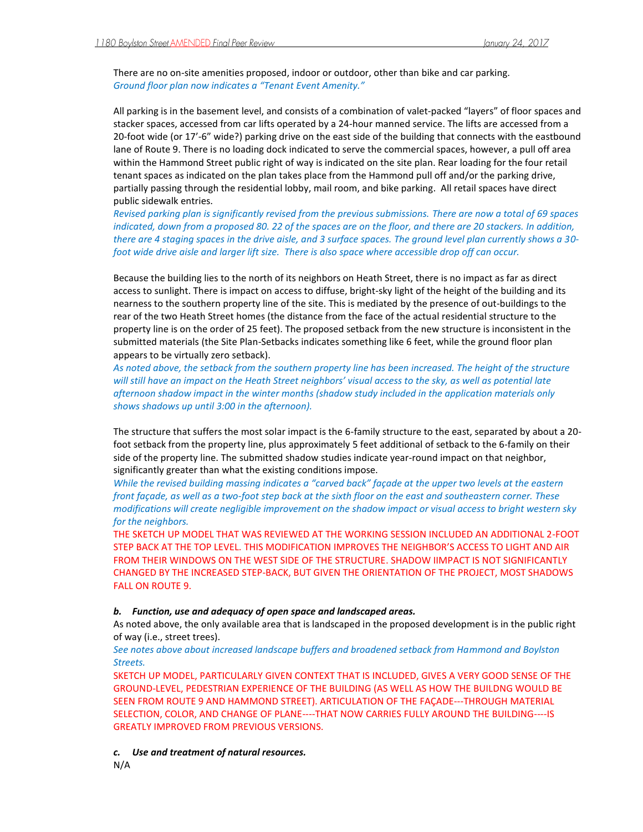There are no on-site amenities proposed, indoor or outdoor, other than bike and car parking. *Ground floor plan now indicates a "Tenant Event Amenity."*

All parking is in the basement level, and consists of a combination of valet-packed "layers" of floor spaces and stacker spaces, accessed from car lifts operated by a 24-hour manned service. The lifts are accessed from a 20-foot wide (or 17'-6" wide?) parking drive on the east side of the building that connects with the eastbound lane of Route 9. There is no loading dock indicated to serve the commercial spaces, however, a pull off area within the Hammond Street public right of way is indicated on the site plan. Rear loading for the four retail tenant spaces as indicated on the plan takes place from the Hammond pull off and/or the parking drive, partially passing through the residential lobby, mail room, and bike parking. All retail spaces have direct public sidewalk entries.

*Revised parking plan is significantly revised from the previous submissions. There are now a total of 69 spaces indicated, down from a proposed 80. 22 of the spaces are on the floor, and there are 20 stackers. In addition, there are 4 staging spaces in the drive aisle, and 3 surface spaces. The ground level plan currently shows a 30 foot wide drive aisle and larger lift size. There is also space where accessible drop off can occur.* 

Because the building lies to the north of its neighbors on Heath Street, there is no impact as far as direct access to sunlight. There is impact on access to diffuse, bright-sky light of the height of the building and its nearness to the southern property line of the site. This is mediated by the presence of out-buildings to the rear of the two Heath Street homes (the distance from the face of the actual residential structure to the property line is on the order of 25 feet). The proposed setback from the new structure is inconsistent in the submitted materials (the Site Plan-Setbacks indicates something like 6 feet, while the ground floor plan appears to be virtually zero setback).

*As noted above, the setback from the southern property line has been increased. The height of the structure will still have an impact on the Heath Street neighbors' visual access to the sky, as well as potential late afternoon shadow impact in the winter months (shadow study included in the application materials only shows shadows up until 3:00 in the afternoon).* 

The structure that suffers the most solar impact is the 6-family structure to the east, separated by about a 20 foot setback from the property line, plus approximately 5 feet additional of setback to the 6-family on their side of the property line. The submitted shadow studies indicate year-round impact on that neighbor, significantly greater than what the existing conditions impose.

*While the revised building massing indicates a "carved back" façade at the upper two levels at the eastern front façade, as well as a two-foot step back at the sixth floor on the east and southeastern corner. These modifications will create negligible improvement on the shadow impact or visual access to bright western sky for the neighbors.* 

THE SKETCH UP MODEL THAT WAS REVIEWED AT THE WORKING SESSION INCLUDED AN ADDITIONAL 2-FOOT STEP BACK AT THE TOP LEVEL. THIS MODIFICATION IMPROVES THE NEIGHBOR'S ACCESS TO LIGHT AND AIR FROM THEIR WINDOWS ON THE WEST SIDE OF THE STRUCTURE. SHADOW IIMPACT IS NOT SIGNIFICANTLY CHANGED BY THE INCREASED STEP-BACK, BUT GIVEN THE ORIENTATION OF THE PROJECT, MOST SHADOWS FALL ON ROUTE 9.

# *b. Function, use and adequacy of open space and landscaped areas.*

As noted above, the only available area that is landscaped in the proposed development is in the public right of way (i.e., street trees).

*See notes above about increased landscape buffers and broadened setback from Hammond and Boylston Streets.* 

SKETCH UP MODEL, PARTICULARLY GIVEN CONTEXT THAT IS INCLUDED, GIVES A VERY GOOD SENSE OF THE GROUND-LEVEL, PEDESTRIAN EXPERIENCE OF THE BUILDING (AS WELL AS HOW THE BUILDNG WOULD BE SEEN FROM ROUTE 9 AND HAMMOND STREET). ARTICULATION OF THE FAÇADE---THROUGH MATERIAL SELECTION, COLOR, AND CHANGE OF PLANE----THAT NOW CARRIES FULLY AROUND THE BUILDING----IS GREATLY IMPROVED FROM PREVIOUS VERSIONS.

### *c. Use and treatment of natural resources.*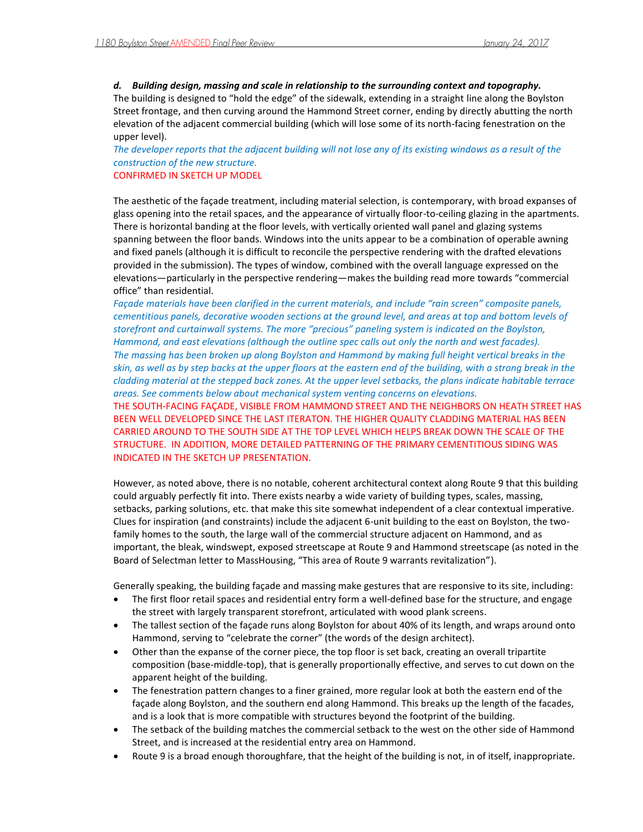*d. Building design, massing and scale in relationship to the surrounding context and topography.* 

The building is designed to "hold the edge" of the sidewalk, extending in a straight line along the Boylston Street frontage, and then curving around the Hammond Street corner, ending by directly abutting the north elevation of the adjacent commercial building (which will lose some of its north-facing fenestration on the upper level).

*The developer reports that the adjacent building will not lose any of its existing windows as a result of the construction of the new structure.* 

# CONFIRMED IN SKETCH UP MODEL

The aesthetic of the façade treatment, including material selection, is contemporary, with broad expanses of glass opening into the retail spaces, and the appearance of virtually floor-to-ceiling glazing in the apartments. There is horizontal banding at the floor levels, with vertically oriented wall panel and glazing systems spanning between the floor bands. Windows into the units appear to be a combination of operable awning and fixed panels (although it is difficult to reconcile the perspective rendering with the drafted elevations provided in the submission). The types of window, combined with the overall language expressed on the elevations—particularly in the perspective rendering—makes the building read more towards "commercial office" than residential.

*Façade materials have been clarified in the current materials, and include "rain screen" composite panels, cementitious panels, decorative wooden sections at the ground level, and areas at top and bottom levels of storefront and curtainwall systems. The more "precious" paneling system is indicated on the Boylston, Hammond, and east elevations (although the outline spec calls out only the north and west facades). The massing has been broken up along Boylston and Hammond by making full height vertical breaks in the skin, as well as by step backs at the upper floors at the eastern end of the building, with a strong break in the cladding material at the stepped back zones. At the upper level setbacks, the plans indicate habitable terrace areas. See comments below about mechanical system venting concerns on elevations.* 

THE SOUTH-FACING FAÇADE, VISIBLE FROM HAMMOND STREET AND THE NEIGHBORS ON HEATH STREET HAS BEEN WELL DEVELOPED SINCE THE LAST ITERATON. THE HIGHER QUALITY CLADDING MATERIAL HAS BEEN CARRIED AROUND TO THE SOUTH SIDE AT THE TOP LEVEL WHICH HELPS BREAK DOWN THE SCALE OF THE STRUCTURE. IN ADDITION, MORE DETAILED PATTERNING OF THE PRIMARY CEMENTITIOUS SIDING WAS INDICATED IN THE SKETCH UP PRESENTATION.

However, as noted above, there is no notable, coherent architectural context along Route 9 that this building could arguably perfectly fit into. There exists nearby a wide variety of building types, scales, massing, setbacks, parking solutions, etc. that make this site somewhat independent of a clear contextual imperative. Clues for inspiration (and constraints) include the adjacent 6-unit building to the east on Boylston, the twofamily homes to the south, the large wall of the commercial structure adjacent on Hammond, and as important, the bleak, windswept, exposed streetscape at Route 9 and Hammond streetscape (as noted in the Board of Selectman letter to MassHousing, "This area of Route 9 warrants revitalization").

Generally speaking, the building façade and massing make gestures that are responsive to its site, including:

- The first floor retail spaces and residential entry form a well-defined base for the structure, and engage the street with largely transparent storefront, articulated with wood plank screens.
- The tallest section of the façade runs along Boylston for about 40% of its length, and wraps around onto Hammond, serving to "celebrate the corner" (the words of the design architect).
- Other than the expanse of the corner piece, the top floor is set back, creating an overall tripartite composition (base-middle-top), that is generally proportionally effective, and serves to cut down on the apparent height of the building.
- The fenestration pattern changes to a finer grained, more regular look at both the eastern end of the façade along Boylston, and the southern end along Hammond. This breaks up the length of the facades, and is a look that is more compatible with structures beyond the footprint of the building.
- The setback of the building matches the commercial setback to the west on the other side of Hammond Street, and is increased at the residential entry area on Hammond.
- Route 9 is a broad enough thoroughfare, that the height of the building is not, in of itself, inappropriate.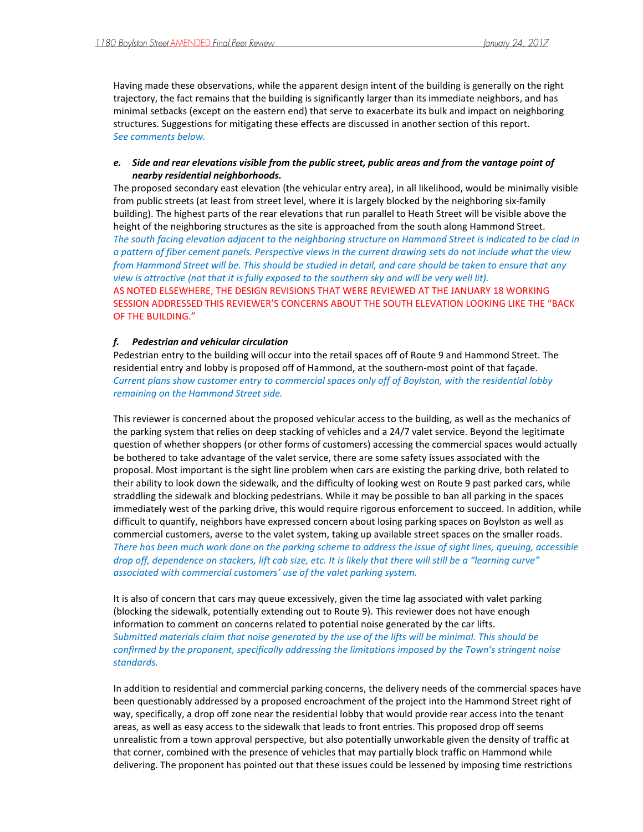Having made these observations, while the apparent design intent of the building is generally on the right trajectory, the fact remains that the building is significantly larger than its immediate neighbors, and has minimal setbacks (except on the eastern end) that serve to exacerbate its bulk and impact on neighboring structures. Suggestions for mitigating these effects are discussed in another section of this report. *See comments below.* 

### *e. Side and rear elevations visible from the public street, public areas and from the vantage point of nearby residential neighborhoods.*

The proposed secondary east elevation (the vehicular entry area), in all likelihood, would be minimally visible from public streets (at least from street level, where it is largely blocked by the neighboring six-family building). The highest parts of the rear elevations that run parallel to Heath Street will be visible above the height of the neighboring structures as the site is approached from the south along Hammond Street. *The south facing elevation adjacent to the neighboring structure on Hammond Street is indicated to be clad in a pattern of fiber cement panels. Perspective views in the current drawing sets do not include what the view from Hammond Street will be. This should be studied in detail, and care should be taken to ensure that any view is attractive (not that it is fully exposed to the southern sky and will be very well lit).*  AS NOTED ELSEWHERE, THE DESIGN REVISIONS THAT WERE REVIEWED AT THE JANUARY 18 WORKING SESSION ADDRESSED THIS REVIEWER'S CONCERNS ABOUT THE SOUTH ELEVATION LOOKING LIKE THE "BACK OF THE BUILDING."

### *f. Pedestrian and vehicular circulation*

Pedestrian entry to the building will occur into the retail spaces off of Route 9 and Hammond Street. The residential entry and lobby is proposed off of Hammond, at the southern-most point of that façade. *Current plans show customer entry to commercial spaces only off of Boylston, with the residential lobby remaining on the Hammond Street side.* 

This reviewer is concerned about the proposed vehicular access to the building, as well as the mechanics of the parking system that relies on deep stacking of vehicles and a 24/7 valet service. Beyond the legitimate question of whether shoppers (or other forms of customers) accessing the commercial spaces would actually be bothered to take advantage of the valet service, there are some safety issues associated with the proposal. Most important is the sight line problem when cars are existing the parking drive, both related to their ability to look down the sidewalk, and the difficulty of looking west on Route 9 past parked cars, while straddling the sidewalk and blocking pedestrians. While it may be possible to ban all parking in the spaces immediately west of the parking drive, this would require rigorous enforcement to succeed. In addition, while difficult to quantify, neighbors have expressed concern about losing parking spaces on Boylston as well as commercial customers, averse to the valet system, taking up available street spaces on the smaller roads. *There has been much work done on the parking scheme to address the issue of sight lines, queuing, accessible drop off, dependence on stackers, lift cab size, etc. It is likely that there will still be a "learning curve" associated with commercial customers' use of the valet parking system.* 

It is also of concern that cars may queue excessively, given the time lag associated with valet parking (blocking the sidewalk, potentially extending out to Route 9). This reviewer does not have enough information to comment on concerns related to potential noise generated by the car lifts. *Submitted materials claim that noise generated by the use of the lifts will be minimal. This should be confirmed by the proponent, specifically addressing the limitations imposed by the Town's stringent noise standards.* 

In addition to residential and commercial parking concerns, the delivery needs of the commercial spaces have been questionably addressed by a proposed encroachment of the project into the Hammond Street right of way, specifically, a drop off zone near the residential lobby that would provide rear access into the tenant areas, as well as easy access to the sidewalk that leads to front entries. This proposed drop off seems unrealistic from a town approval perspective, but also potentially unworkable given the density of traffic at that corner, combined with the presence of vehicles that may partially block traffic on Hammond while delivering. The proponent has pointed out that these issues could be lessened by imposing time restrictions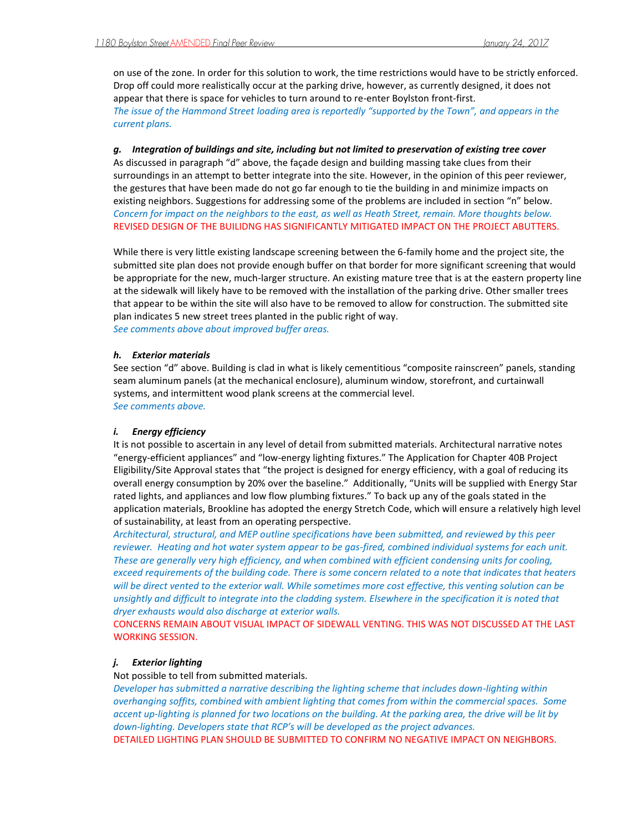on use of the zone. In order for this solution to work, the time restrictions would have to be strictly enforced. Drop off could more realistically occur at the parking drive, however, as currently designed, it does not appear that there is space for vehicles to turn around to re-enter Boylston front-first. *The issue of the Hammond Street loading area is reportedly "supported by the Town", and appears in the current plans.* 

#### *g. Integration of buildings and site, including but not limited to preservation of existing tree cover*

As discussed in paragraph "d" above, the façade design and building massing take clues from their surroundings in an attempt to better integrate into the site. However, in the opinion of this peer reviewer, the gestures that have been made do not go far enough to tie the building in and minimize impacts on existing neighbors. Suggestions for addressing some of the problems are included in section "n" below. *Concern for impact on the neighbors to the east, as well as Heath Street, remain. More thoughts below.*  REVISED DESIGN OF THE BUILIDNG HAS SIGNIFICANTLY MITIGATED IMPACT ON THE PROJECT ABUTTERS.

While there is very little existing landscape screening between the 6-family home and the project site, the submitted site plan does not provide enough buffer on that border for more significant screening that would be appropriate for the new, much-larger structure. An existing mature tree that is at the eastern property line at the sidewalk will likely have to be removed with the installation of the parking drive. Other smaller trees that appear to be within the site will also have to be removed to allow for construction. The submitted site plan indicates 5 new street trees planted in the public right of way. *See comments above about improved buffer areas.* 

### *h. Exterior materials*

See section "d" above. Building is clad in what is likely cementitious "composite rainscreen" panels, standing seam aluminum panels (at the mechanical enclosure), aluminum window, storefront, and curtainwall systems, and intermittent wood plank screens at the commercial level. *See comments above.* 

#### *i. Energy efficiency*

It is not possible to ascertain in any level of detail from submitted materials. Architectural narrative notes "energy-efficient appliances" and "low-energy lighting fixtures." The Application for Chapter 40B Project Eligibility/Site Approval states that "the project is designed for energy efficiency, with a goal of reducing its overall energy consumption by 20% over the baseline." Additionally, "Units will be supplied with Energy Star rated lights, and appliances and low flow plumbing fixtures." To back up any of the goals stated in the application materials, Brookline has adopted the energy Stretch Code, which will ensure a relatively high level of sustainability, at least from an operating perspective.

*Architectural, structural, and MEP outline specifications have been submitted, and reviewed by this peer reviewer. Heating and hot water system appear to be gas-fired, combined individual systems for each unit. These are generally very high efficiency, and when combined with efficient condensing units for cooling, exceed requirements of the building code. There is some concern related to a note that indicates that heaters will be direct vented to the exterior wall. While sometimes more cost effective, this venting solution can be unsightly and difficult to integrate into the cladding system. Elsewhere in the specification it is noted that dryer exhausts would also discharge at exterior walls.* 

CONCERNS REMAIN ABOUT VISUAL IMPACT OF SIDEWALL VENTING. THIS WAS NOT DISCUSSED AT THE LAST WORKING SESSION.

# *j. Exterior lighting*

Not possible to tell from submitted materials.

*Developer has submitted a narrative describing the lighting scheme that includes down-lighting within overhanging soffits, combined with ambient lighting that comes from within the commercial spaces. Some accent up-lighting is planned for two locations on the building. At the parking area, the drive will be lit by down-lighting. Developers state that RCP's will be developed as the project advances.* 

DETAILED LIGHTING PLAN SHOULD BE SUBMITTED TO CONFIRM NO NEGATIVE IMPACT ON NEIGHBORS.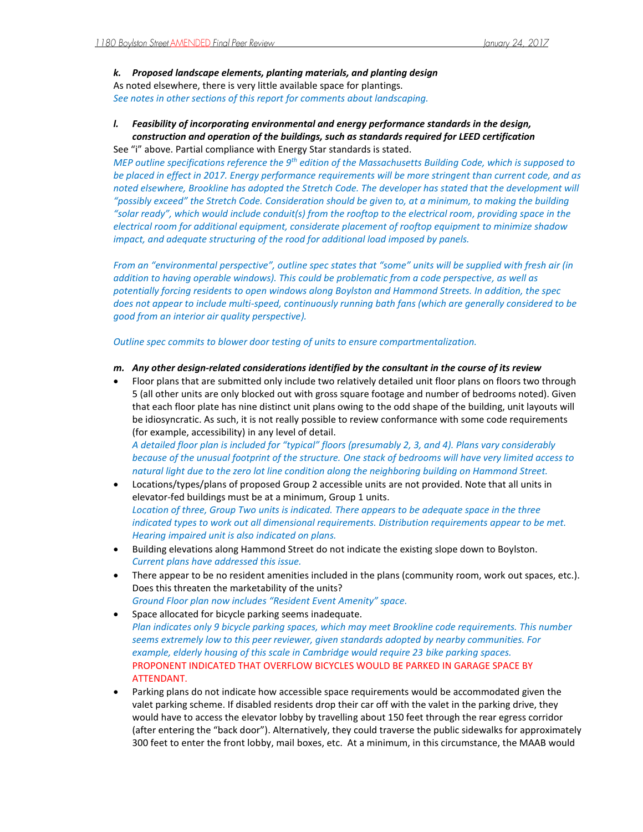*k. Proposed landscape elements, planting materials, and planting design* As noted elsewhere, there is very little available space for plantings. *See notes in other sections of this report for comments about landscaping.* 

### *l. Feasibility of incorporating environmental and energy performance standards in the design, construction and operation of the buildings, such as standards required for LEED certification* See "i" above. Partial compliance with Energy Star standards is stated.

*MEP outline specifications reference the 9th edition of the Massachusetts Building Code, which is supposed to be placed in effect in 2017. Energy performance requirements will be more stringent than current code, and as noted elsewhere, Brookline has adopted the Stretch Code. The developer has stated that the development will "possibly exceed" the Stretch Code. Consideration should be given to, at a minimum, to making the building "solar ready", which would include conduit(s) from the rooftop to the electrical room, providing space in the electrical room for additional equipment, considerate placement of rooftop equipment to minimize shadow impact, and adequate structuring of the rood for additional load imposed by panels.* 

*From an "environmental perspective", outline spec states that "some" units will be supplied with fresh air (in addition to having operable windows). This could be problematic from a code perspective, as well as potentially forcing residents to open windows along Boylston and Hammond Streets. In addition, the spec does not appear to include multi-speed, continuously running bath fans (which are generally considered to be good from an interior air quality perspective).* 

*Outline spec commits to blower door testing of units to ensure compartmentalization.* 

#### *m. Any other design-related considerations identified by the consultant in the course of its review*

 Floor plans that are submitted only include two relatively detailed unit floor plans on floors two through 5 (all other units are only blocked out with gross square footage and number of bedrooms noted). Given that each floor plate has nine distinct unit plans owing to the odd shape of the building, unit layouts will be idiosyncratic. As such, it is not really possible to review conformance with some code requirements (for example, accessibility) in any level of detail.

*A detailed floor plan is included for "typical" floors (presumably 2, 3, and 4). Plans vary considerably because of the unusual footprint of the structure. One stack of bedrooms will have very limited access to natural light due to the zero lot line condition along the neighboring building on Hammond Street.* 

- Locations/types/plans of proposed Group 2 accessible units are not provided. Note that all units in elevator-fed buildings must be at a minimum, Group 1 units. *Location of three, Group Two units is indicated. There appears to be adequate space in the three indicated types to work out all dimensional requirements. Distribution requirements appear to be met. Hearing impaired unit is also indicated on plans.*
- Building elevations along Hammond Street do not indicate the existing slope down to Boylston. *Current plans have addressed this issue.*
- There appear to be no resident amenities included in the plans (community room, work out spaces, etc.). Does this threaten the marketability of the units? *Ground Floor plan now includes "Resident Event Amenity" space.*
- Space allocated for bicycle parking seems inadequate. *Plan indicates only 9 bicycle parking spaces, which may meet Brookline code requirements. This number seems extremely low to this peer reviewer, given standards adopted by nearby communities. For example, elderly housing of this scale in Cambridge would require 23 bike parking spaces.*  PROPONENT INDICATED THAT OVERFLOW BICYCLES WOULD BE PARKED IN GARAGE SPACE BY ATTENDANT.
- Parking plans do not indicate how accessible space requirements would be accommodated given the valet parking scheme. If disabled residents drop their car off with the valet in the parking drive, they would have to access the elevator lobby by travelling about 150 feet through the rear egress corridor (after entering the "back door"). Alternatively, they could traverse the public sidewalks for approximately 300 feet to enter the front lobby, mail boxes, etc. At a minimum, in this circumstance, the MAAB would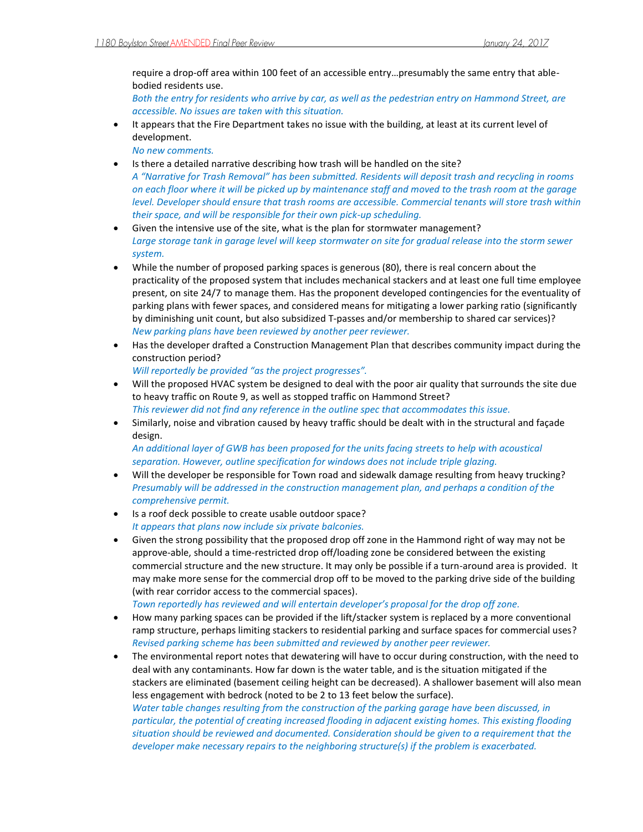require a drop-off area within 100 feet of an accessible entry…presumably the same entry that ablebodied residents use.

*Both the entry for residents who arrive by car, as well as the pedestrian entry on Hammond Street, are accessible. No issues are taken with this situation.* 

• It appears that the Fire Department takes no issue with the building, at least at its current level of development.

*No new comments.* 

- Is there a detailed narrative describing how trash will be handled on the site? *A "Narrative for Trash Removal" has been submitted. Residents will deposit trash and recycling in rooms on each floor where it will be picked up by maintenance staff and moved to the trash room at the garage level. Developer should ensure that trash rooms are accessible. Commercial tenants will store trash within their space, and will be responsible for their own pick-up scheduling.*
- Given the intensive use of the site, what is the plan for stormwater management? *Large storage tank in garage level will keep stormwater on site for gradual release into the storm sewer system.*
- While the number of proposed parking spaces is generous (80), there is real concern about the practicality of the proposed system that includes mechanical stackers and at least one full time employee present, on site 24/7 to manage them. Has the proponent developed contingencies for the eventuality of parking plans with fewer spaces, and considered means for mitigating a lower parking ratio (significantly by diminishing unit count, but also subsidized T-passes and/or membership to shared car services)? *New parking plans have been reviewed by another peer reviewer.*
- Has the developer drafted a Construction Management Plan that describes community impact during the construction period?

*Will reportedly be provided "as the project progresses".* 

- Will the proposed HVAC system be designed to deal with the poor air quality that surrounds the site due to heavy traffic on Route 9, as well as stopped traffic on Hammond Street? *This reviewer did not find any reference in the outline spec that accommodates this issue.*
- Similarly, noise and vibration caused by heavy traffic should be dealt with in the structural and façade design.

*An additional layer of GWB has been proposed for the units facing streets to help with acoustical separation. However, outline specification for windows does not include triple glazing.* 

- Will the developer be responsible for Town road and sidewalk damage resulting from heavy trucking? *Presumably will be addressed in the construction management plan, and perhaps a condition of the comprehensive permit.*
- Is a roof deck possible to create usable outdoor space? *It appears that plans now include six private balconies.*
- Given the strong possibility that the proposed drop off zone in the Hammond right of way may not be approve-able, should a time-restricted drop off/loading zone be considered between the existing commercial structure and the new structure. It may only be possible if a turn-around area is provided. It may make more sense for the commercial drop off to be moved to the parking drive side of the building (with rear corridor access to the commercial spaces).

*Town reportedly has reviewed and will entertain developer's proposal for the drop off zone.* 

- How many parking spaces can be provided if the lift/stacker system is replaced by a more conventional ramp structure, perhaps limiting stackers to residential parking and surface spaces for commercial uses? *Revised parking scheme has been submitted and reviewed by another peer reviewer.*
- The environmental report notes that dewatering will have to occur during construction, with the need to deal with any contaminants. How far down is the water table, and is the situation mitigated if the stackers are eliminated (basement ceiling height can be decreased). A shallower basement will also mean less engagement with bedrock (noted to be 2 to 13 feet below the surface). *Water table changes resulting from the construction of the parking garage have been discussed, in particular, the potential of creating increased flooding in adjacent existing homes. This existing flooding situation should be reviewed and documented. Consideration should be given to a requirement that the developer make necessary repairs to the neighboring structure(s) if the problem is exacerbated.*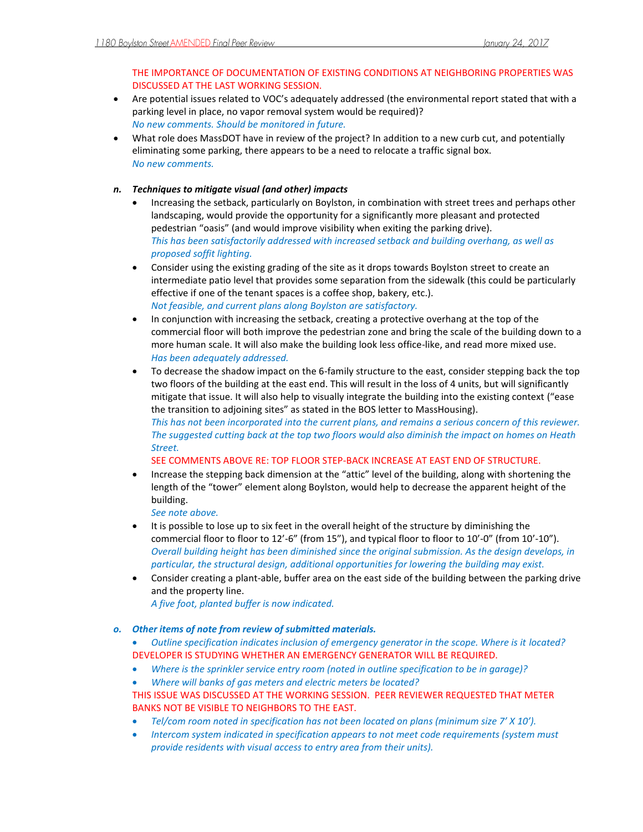THE IMPORTANCE OF DOCUMENTATION OF EXISTING CONDITIONS AT NEIGHBORING PROPERTIES WAS DISCUSSED AT THE LAST WORKING SESSION.

- Are potential issues related to VOC's adequately addressed (the environmental report stated that with a parking level in place, no vapor removal system would be required)? *No new comments. Should be monitored in future.*
- What role does MassDOT have in review of the project? In addition to a new curb cut, and potentially eliminating some parking, there appears to be a need to relocate a traffic signal box. *No new comments.*

# *n. Techniques to mitigate visual (and other) impacts*

- Increasing the setback, particularly on Boylston, in combination with street trees and perhaps other landscaping, would provide the opportunity for a significantly more pleasant and protected pedestrian "oasis" (and would improve visibility when exiting the parking drive). *This has been satisfactorily addressed with increased setback and building overhang, as well as proposed soffit lighting.*
- Consider using the existing grading of the site as it drops towards Boylston street to create an intermediate patio level that provides some separation from the sidewalk (this could be particularly effective if one of the tenant spaces is a coffee shop, bakery, etc.). *Not feasible, and current plans along Boylston are satisfactory.*
- In conjunction with increasing the setback, creating a protective overhang at the top of the commercial floor will both improve the pedestrian zone and bring the scale of the building down to a more human scale. It will also make the building look less office-like, and read more mixed use. *Has been adequately addressed.*
- To decrease the shadow impact on the 6-family structure to the east, consider stepping back the top two floors of the building at the east end. This will result in the loss of 4 units, but will significantly mitigate that issue. It will also help to visually integrate the building into the existing context ("ease the transition to adjoining sites" as stated in the BOS letter to MassHousing). *This has not been incorporated into the current plans, and remains a serious concern of this reviewer. The suggested cutting back at the top two floors would also diminish the impact on homes on Heath Street.*

SEE COMMENTS ABOVE RE: TOP FLOOR STEP-BACK INCREASE AT EAST END OF STRUCTURE.

 Increase the stepping back dimension at the "attic" level of the building, along with shortening the length of the "tower" element along Boylston, would help to decrease the apparent height of the building.

*See note above.* 

- It is possible to lose up to six feet in the overall height of the structure by diminishing the commercial floor to floor to 12'-6" (from 15"), and typical floor to floor to 10'-0" (from 10'-10"). *Overall building height has been diminished since the original submission. As the design develops, in particular, the structural design, additional opportunities for lowering the building may exist.*
- Consider creating a plant-able, buffer area on the east side of the building between the parking drive and the property line.

*A five foot, planted buffer is now indicated.* 

#### *o. Other items of note from review of submitted materials.*

- *Outline specification indicates inclusion of emergency generator in the scope. Where is it located?* DEVELOPER IS STUDYING WHETHER AN EMERGENCY GENERATOR WILL BE REQUIRED.
- *Where is the sprinkler service entry room (noted in outline specification to be in garage)?*
- *Where will banks of gas meters and electric meters be located?*
- THIS ISSUE WAS DISCUSSED AT THE WORKING SESSION. PEER REVIEWER REQUESTED THAT METER BANKS NOT BE VISIBLE TO NEIGHBORS TO THE EAST.
- *Tel/com room noted in specification has not been located on plans (minimum size 7' X 10').*
- *Intercom system indicated in specification appears to not meet code requirements (system must provide residents with visual access to entry area from their units).*